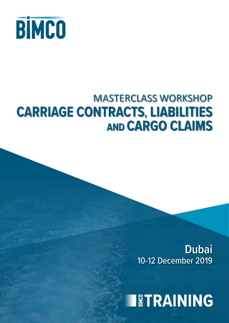

## MASTERCLASS WORKSHOP **CARRIAGE CONTRACTS, LIABILITIES AND CARGO CLAIMS**

10-12 December 2019 **Dubai**

**IETRAINING**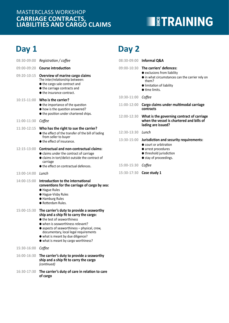### **CARRIAGE CONTRACTS, LIABILITIES AND CARGO CLAIMS** MASTERCLASS WORKSHOP

## **TETRAINING**

## **Day 1 Day 2**

| 08:30-09:00              | Registration / coffee                                                                                                                                                                                                                                                                                                          | 08:30-09:00              | Informal Q&                                                                                   |
|--------------------------|--------------------------------------------------------------------------------------------------------------------------------------------------------------------------------------------------------------------------------------------------------------------------------------------------------------------------------|--------------------------|-----------------------------------------------------------------------------------------------|
| 09:00-09:20              | <b>Course introduction</b>                                                                                                                                                                                                                                                                                                     | 09:00-10:30              | The carriers'                                                                                 |
| 09:20-10:15              | Overview of marine cargo claims<br>The inter/relationship between:<br>● the cargo sale contract and<br>● the carriage contracts and<br>● the insurance contract.                                                                                                                                                               |                          | • exclusions f<br>$\bullet$ in what circ<br>them?<br>$\bullet$ limitation o<br>● time limits. |
|                          | 10:15-11:00 Who is the carrier?                                                                                                                                                                                                                                                                                                | 10:30-11:00              | Coffee                                                                                        |
|                          | ● the importance of the question<br>• how is the question answered?<br>● the position under chartered ships.                                                                                                                                                                                                                   | 11:00-12:00              | Cargo claims<br>contracts                                                                     |
| 11:00-11:30              | Coffee                                                                                                                                                                                                                                                                                                                         | 12:00-12:30              | What is the<br>when the ve<br>lading are is:                                                  |
| 11:30-12:15              | Who has the right to sue the carrier?<br>● the effect of the transfer of the bill of lading                                                                                                                                                                                                                                    | 12:30-13:30 <i>Lunch</i> |                                                                                               |
|                          | from seller to buyer<br>● the effect of insurance.                                                                                                                                                                                                                                                                             | 13:30-15:00              | Jurisdiction a                                                                                |
| 12:15-13:00              | <b>Contractual and non-contractual claims:</b><br>• claims under the contract of carriage<br>• claims in tort/delict outside the contract of<br>carriage<br>● the effect on contractual defences.                                                                                                                              | 15:00-15:30              | $\bullet$ court or arb<br>• arrest proce<br>● threshold ju<br>● stay of proc<br>Coffee        |
| 13:00-14:00 <i>Lunch</i> |                                                                                                                                                                                                                                                                                                                                | 15:30-17:30              | Case study 1                                                                                  |
| 14:00-15:00              | Introduction to the international<br>conventions for the carriage of cargo by sea:<br>● Hague Rules<br>● Hague-Visby Rules<br><b>•</b> Hamburg Rules<br>· Rotterdam Rules.                                                                                                                                                     |                          |                                                                                               |
| 15:00-15:30              | The carrier's duty to provide a seaworthy<br>ship and a ship fit to carry the cargo:<br>● the test of seaworthiness<br>• when is seaworthiness relevant?<br>• aspects of seaworthiness - physical, crew,<br>documentary, local legal requirements<br>• what is meant by due diligence?<br>• what is meant by cargo worthiness? |                          |                                                                                               |
| 15:30-16:00              | Coffee                                                                                                                                                                                                                                                                                                                         |                          |                                                                                               |
| 16:00-16:30              | The carrier's duty to provide a seaworthy<br>ship and a ship fit to carry the cargo                                                                                                                                                                                                                                            |                          |                                                                                               |

- *(continued)*
- **16:30-17:30 The carrier's duty of care in relation to care of cargo**

|                     | 08:30-09:00 Informal Q&A                                                                                                                                                            |
|---------------------|-------------------------------------------------------------------------------------------------------------------------------------------------------------------------------------|
|                     | 09:00-10:30 The carriers' defences:<br>• exclusions from liability<br>In what circumstances can the carrier rely on<br>them?<br>● limitation of liability<br>$\bullet$ time limits. |
| 10:30-11:00         | Coffee                                                                                                                                                                              |
| 11:00-12:00         | Cargo claims under multimodal carriage<br>contracts                                                                                                                                 |
| 12:00-12:30         | What is the governing contract of carriage<br>when the vessel is chartered and bills of<br>lading are issued?                                                                       |
| $12:30-13:30$ Lunch |                                                                                                                                                                                     |
| 13:30-15:00         | Jurisdiction and security requirements:<br>$\bullet$ court or arbitration<br>• arrest procedures<br>threshold jurisdiction<br>stay of proceedings.                                  |
| 15:00-15:30 Coffee  |                                                                                                                                                                                     |
| 15:30-17:30         | Case study 1                                                                                                                                                                        |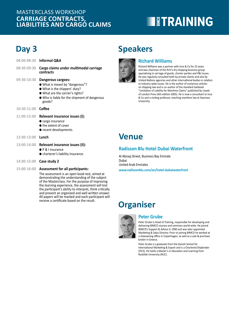#### **CARRIAGE CONTRACTS, LIABILITIES AND CARGO CLAIMS** MASTERCLASS WORKSHOP

# **EXPERIENT STRAINING**

## **Day 3**

|                    | 08:00-08:30 Informal Q&A                                                                                                                                                              |
|--------------------|---------------------------------------------------------------------------------------------------------------------------------------------------------------------------------------|
| 08:30-09:30        | Cargo claims under multimodal carriage<br>contracts                                                                                                                                   |
| 09:30-10:30        | Dangerous cargoes:<br>• What is meant by "dangerous"?<br>• What is the shippers' duty?<br>• What are the carrier's rights?<br>● Who is liable for the shipment of dangerous<br>goods? |
| 10:30-11:00 Coffee |                                                                                                                                                                                       |
| 11:00-12:00        | Relevant insurance issues (I):<br>• cargo insurance<br>● the extent of cover<br>● recent developments.                                                                                |
| 12:00-13:00        | Lunch                                                                                                                                                                                 |
| 13:00-14:00        | Relevant insurance issues (II):<br>● P & I insurance<br>$\bullet$ charterer's liability insurance.                                                                                    |

- **14:00-15:00 Case study 2**
- **15:00-16:00 Assessment for all participants:**

The assessment is an open book test, aimed at demonstrating the understanding of the subject of the Masterclass. For the purpose of improving the learning experience, the assessment will test the participant's ability to interpret, think critically and present an organized and well written answer. All papers will be marked and each participant will receive a certificate based on the result.

## **Speakers**



#### **Richard Williams**

Richard Williams was a partner with Ince & Co for 25 years and was chairman of the firm's dry shipping business group specialising in carriage of goods, charter parties and P&I issues. He was regularly consulted both by private clients and also by United Nations agencies and other international bodies in relation to industry-wide issues. He is the author of numerous articles on shipping law and is co–author of the standard textbook "Limitation of Liability for Maritime Claims" published by Lloyds of London Press (4th edition 2005). He is now a consultant to Ince & Co and a visiting professor, teaching maritime law at Swansea University.

### **Venue**

#### **Radisson Blu Hotel Dubai Waterfront**

Al Abraaj Street, Business Bay Emirate Dubai United Arab Emirates **www.radissonblu.com/en/hotel-dubaiwaterfront**

## **Organiser**



#### **Peter Grube**

Peter Grube is Head of Training, responsible for developing and delivering BIMCO courses and seminars world-wide. He joined BIMCO's Support & Advice in 1990 and was later appointed Marketing & Sales Director. Prior to joining BIMCO he worked at a shipowning office in Copenhagen, as well as a sale & purchase broker in Greece.

Peter Grube is a graduate from the Danish School for International Marketing & Export and is a Chartered Shipbroker (FICS). He holds a Master's in Education and Learning from Roskilde University (RUC).